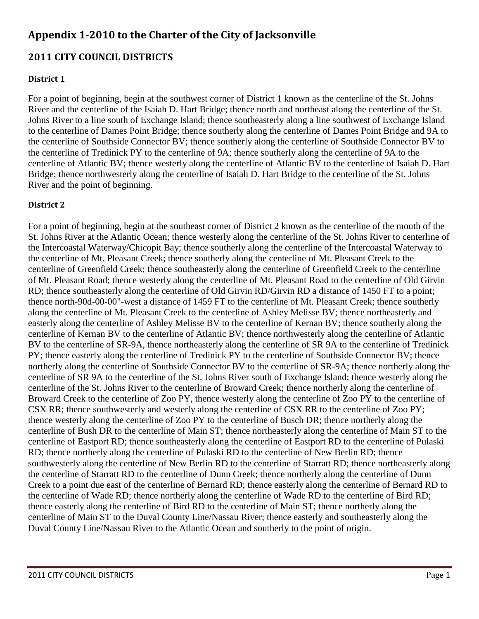# **Appendix 1-2010 to the Charter of the City of Jacksonville**

# **2011 CITY COUNCIL DISTRICTS**

# **District 1**

For a point of beginning, begin at the southwest corner of District 1 known as the centerline of the St. Johns River and the centerline of the Isaiah D. Hart Bridge; thence north and northeast along the centerline of the St. Johns River to a line south of Exchange Island; thence southeasterly along a line southwest of Exchange Island to the centerline of Dames Point Bridge; thence southerly along the centerline of Dames Point Bridge and 9A to the centerline of Southside Connector BV; thence southerly along the centerline of Southside Connector BV to the centerline of Tredinick PY to the centerline of 9A; thence southerly along the centerline of 9A to the centerline of Atlantic BV; thence westerly along the centerline of Atlantic BV to the centerline of Isaiah D. Hart Bridge; thence northwesterly along the centerline of Isaiah D. Hart Bridge to the centerline of the St. Johns River and the point of beginning.

## **District 2**

For a point of beginning, begin at the southeast corner of District 2 known as the centerline of the mouth of the St. Johns River at the Atlantic Ocean; thence westerly along the centerline of the St. Johns River to centerline of the Intercoastal Waterway/Chicopit Bay; thence southerly along the centerline of the Intercoastal Waterway to the centerline of Mt. Pleasant Creek; thence southerly along the centerline of Mt. Pleasant Creek to the centerline of Greenfield Creek; thence southeasterly along the centerline of Greenfield Creek to the centerline of Mt. Pleasant Road; thence westerly along the centerline of Mt. Pleasant Road to the centerline of Old Girvin RD; thence southeasterly along the centerline of Old Girvin RD/Girvin RD a distance of 1450 FT to a point; thence north-90d-00-00"-west a distance of 1459 FT to the centerline of Mt. Pleasant Creek; thence southerly along the centerline of Mt. Pleasant Creek to the centerline of Ashley Melisse BV; thence northeasterly and easterly along the centerline of Ashley Melisse BV to the centerline of Kernan BV; thence southerly along the centerline of Kernan BV to the centerline of Atlantic BV; thence northwesterly along the centerline of Atlantic BV to the centerline of SR-9A, thence northeasterly along the centerline of SR 9A to the centerline of Tredinick PY; thence easterly along the centerline of Tredinick PY to the centerline of Southside Connector BV; thence northerly along the centerline of Southside Connector BV to the centerline of SR-9A; thence northerly along the centerline of SR 9A to the centerline of the St. Johns River south of Exchange Island; thence westerly along the centerline of the St. Johns River to the centerline of Broward Creek; thence northerly along the centerline of Broward Creek to the centerline of Zoo PY, thence westerly along the centerline of Zoo PY to the centerline of CSX RR; thence southwesterly and westerly along the centerline of CSX RR to the centerline of Zoo PY; thence westerly along the centerline of Zoo PY to the centerline of Busch DR; thence northerly along the centerline of Bush DR to the centerline of Main ST; thence northeasterly along the centerline of Main ST to the centerline of Eastport RD; thence southeasterly along the centerline of Eastport RD to the centerline of Pulaski RD; thence northerly along the centerline of Pulaski RD to the centerline of New Berlin RD; thence southwesterly along the centerline of New Berlin RD to the centerline of Starratt RD; thence northeasterly along the centerline of Starratt RD to the centerline of Dunn Creek; thence northerly along the centerline of Dunn Creek to a point due east of the centerline of Bernard RD; thence easterly along the centerline of Bernard RD to the centerline of Wade RD; thence northerly along the centerline of Wade RD to the centerline of Bird RD; thence easterly along the centerline of Bird RD to the centerline of Main ST; thence northerly along the centerline of Main ST to the Duval County Line/Nassau River; thence easterly and southeasterly along the Duval County Line/Nassau River to the Atlantic Ocean and southerly to the point of origin.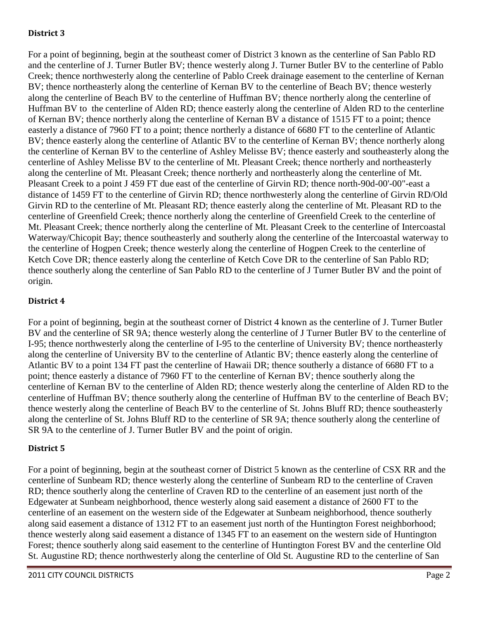## **District 3**

For a point of beginning, begin at the southeast comer of District 3 known as the centerline of San Pablo RD and the centerline of J. Turner Butler BV; thence westerly along J. Turner Butler BV to the centerline of Pablo Creek; thence northwesterly along the centerline of Pablo Creek drainage easement to the centerline of Kernan BV; thence northeasterly along the centerline of Kernan BV to the centerline of Beach BV; thence westerly along the centerline of Beach BV to the centerline of Huffman BV; thence northerly along the centerline of Huffman BV to the centerline of Alden RD; thence easterly along the centerline of Alden RD to the centerline of Kernan BV; thence northerly along the centerline of Kernan BV a distance of 1515 FT to a point; thence easterly a distance of 7960 FT to a point; thence northerly a distance of 6680 FT to the centerline of Atlantic BV; thence easterly along the centerline of Atlantic BV to the centerline of Kernan BV; thence northerly along the centerline of Kernan BV to the centerline of Ashley Melisse BV; thence easterly and southeasterly along the centerline of Ashley Melisse BV to the centerline of Mt. Pleasant Creek; thence northerly and northeasterly along the centerline of Mt. Pleasant Creek; thence northerly and northeasterly along the centerline of Mt. Pleasant Creek to a point J 459 FT due east of the centerline of Girvin RD; thence north-90d-00'-00"-east a distance of 1459 FT to the centerline of Girvin RD; thence northwesterly along the centerline of Girvin RD/Old Girvin RD to the centerline of Mt. Pleasant RD; thence easterly along the centerline of Mt. Pleasant RD to the centerline of Greenfield Creek; thence northerly along the centerline of Greenfield Creek to the centerline of Mt. Pleasant Creek; thence northerly along the centerline of Mt. Pleasant Creek to the centerline of Intercoastal Waterway/Chicopit Bay; thence southeasterly and southerly along the centerline of the Intercoastal waterway to the centerline of Hogpen Creek; thence westerly along the centerline of Hogpen Creek to the centerline of Ketch Cove DR; thence easterly along the centerline of Ketch Cove DR to the centerline of San Pablo RD; thence southerly along the centerline of San Pablo RD to the centerline of J Turner Butler BV and the point of origin.

## **District 4**

For a point of beginning, begin at the southeast corner of District 4 known as the centerline of J. Turner Butler BV and the centerline of SR 9A; thence westerly along the centerline of J Turner Butler BV to the centerline of I-95; thence northwesterly along the centerline of I-95 to the centerline of University BV; thence northeasterly along the centerline of University BV to the centerline of Atlantic BV; thence easterly along the centerline of Atlantic BV to a point 134 FT past the centerline of Hawaii DR; thence southerly a distance of 6680 FT to a point; thence easterly a distance of 7960 FT to the centerline of Kernan BV; thence southerly along the centerline of Kernan BV to the centerline of Alden RD; thence westerly along the centerline of Alden RD to the centerline of Huffman BV; thence southerly along the centerline of Huffman BV to the centerline of Beach BV; thence westerly along the centerline of Beach BV to the centerline of St. Johns Bluff RD; thence southeasterly along the centerline of St. Johns Bluff RD to the centerline of SR 9A; thence southerly along the centerline of SR 9A to the centerline of J. Turner Butler BV and the point of origin.

#### **District 5**

For a point of beginning, begin at the southeast corner of District 5 known as the centerline of CSX RR and the centerline of Sunbeam RD; thence westerly along the centerline of Sunbeam RD to the centerline of Craven RD; thence southerly along the centerline of Craven RD to the centerline of an easement just north of the Edgewater at Sunbeam neighborhood, thence westerly along said easement a distance of 2600 FT to the centerline of an easement on the western side of the Edgewater at Sunbeam neighborhood, thence southerly along said easement a distance of 1312 FT to an easement just north of the Huntington Forest neighborhood; thence westerly along said easement a distance of 1345 FT to an easement on the western side of Huntington Forest; thence southerly along said easement to the centerline of Huntington Forest BV and the centerline Old St. Augustine RD; thence northwesterly along the centerline of Old St. Augustine RD to the centerline of San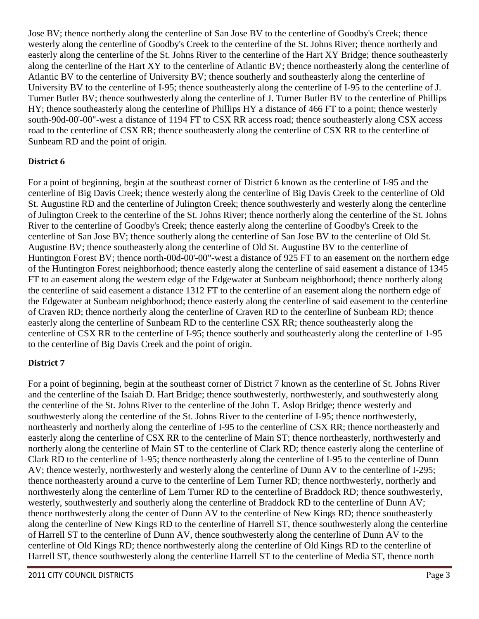Jose BV; thence northerly along the centerline of San Jose BV to the centerline of Goodby's Creek; thence westerly along the centerline of Goodby's Creek to the centerline of the St. Johns River; thence northerly and easterly along the centerline of the St. Johns River to the centerline of the Hart XY Bridge; thence southeasterly along the centerline of the Hart XY to the centerline of Atlantic BV; thence northeasterly along the centerline of Atlantic BV to the centerline of University BV; thence southerly and southeasterly along the centerline of University BV to the centerline of I-95; thence southeasterly along the centerline of I-95 to the centerline of J. Turner Butler BV; thence southwesterly along the centerline of J. Turner Butler BV to the centerline of Phillips HY; thence southeasterly along the centerline of Phillips HY a distance of 466 FT to a point; thence westerly south-90d-00'-00"-west a distance of 1194 FT to CSX RR access road; thence southeasterly along CSX access road to the centerline of CSX RR; thence southeasterly along the centerline of CSX RR to the centerline of Sunbeam RD and the point of origin.

## **District 6**

For a point of beginning, begin at the southeast corner of District 6 known as the centerline of I-95 and the centerline of Big Davis Creek; thence westerly along the centerline of Big Davis Creek to the centerline of Old St. Augustine RD and the centerline of Julington Creek; thence southwesterly and westerly along the centerline of Julington Creek to the centerline of the St. Johns River; thence northerly along the centerline of the St. Johns River to the centerline of Goodby's Creek; thence easterly along the centerline of Goodby's Creek to the centerline of San Jose BV; thence southerly along the centerline of San Jose BV to the centerline of Old St. Augustine BV; thence southeasterly along the centerline of Old St. Augustine BV to the centerline of Huntington Forest BV; thence north-00d-00'-00"-west a distance of 925 FT to an easement on the northern edge of the Huntington Forest neighborhood; thence easterly along the centerline of said easement a distance of 1345 FT to an easement along the western edge of the Edgewater at Sunbeam neighborhood; thence northerly along the centerline of said easement a distance 1312 FT to the centerline of an easement along the northern edge of the Edgewater at Sunbeam neighborhood; thence easterly along the centerline of said easement to the centerline of Craven RD; thence northerly along the centerline of Craven RD to the centerline of Sunbeam RD; thence easterly along the centerline of Sunbeam RD to the centerline CSX RR; thence southeasterly along the centerline of CSX RR to the centerline of I-95; thence southerly and southeasterly along the centerline of 1-95 to the centerline of Big Davis Creek and the point of origin.

#### **District 7**

For a point of beginning, begin at the southeast corner of District 7 known as the centerline of St. Johns River and the centerline of the Isaiah D. Hart Bridge; thence southwesterly, northwesterly, and southwesterly along the centerline of the St. Johns River to the centerline of the John T. Aslop Bridge; thence westerly and southwesterly along the centerline of the St. Johns River to the centerline of I-95; thence northwesterly, northeasterly and northerly along the centerline of I-95 to the centerline of CSX RR; thence northeasterly and easterly along the centerline of CSX RR to the centerline of Main ST; thence northeasterly, northwesterly and northerly along the centerline of Main ST to the centerline of Clark RD; thence easterly along the centerline of Clark RD to the centerline of 1-95; thence northeasterly along the centerline of I-95 to the centerline of Dunn AV; thence westerly, northwesterly and westerly along the centerline of Dunn AV to the centerline of I-295; thence northeasterly around a curve to the centerline of Lem Turner RD; thence northwesterly, northerly and northwesterly along the centerline of Lem Turner RD to the centerline of Braddock RD; thence southwesterly, westerly, southwesterly and southerly along the centerline of Braddock RD to the centerline of Dunn AV; thence northwesterly along the center of Dunn AV to the centerline of New Kings RD; thence southeasterly along the centerline of New Kings RD to the centerline of Harrell ST, thence southwesterly along the centerline of Harrell ST to the centerline of Dunn AV, thence southwesterly along the centerline of Dunn AV to the centerline of Old Kings RD; thence northwesterly along the centerline of Old Kings RD to the centerline of Harrell ST, thence southwesterly along the centerline Harrell ST to the centerline of Media ST, thence north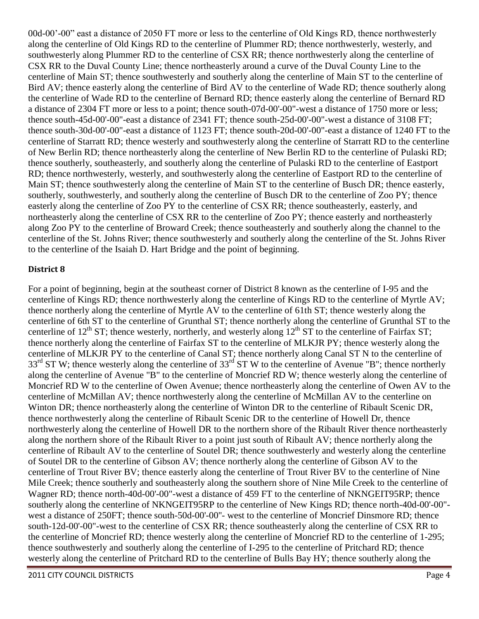00d-00'-00" east a distance of 2050 FT more or less to the centerline of Old Kings RD, thence northwesterly along the centerline of Old Kings RD to the centerline of Plummer RD; thence northwesterly, westerly, and southwesterly along Plummer RD to the centerline of CSX RR; thence northwesterly along the centerline of CSX RR to the Duval County Line; thence northeasterly around a curve of the Duval County Line to the centerline of Main ST; thence southwesterly and southerly along the centerline of Main ST to the centerline of Bird AV; thence easterly along the centerline of Bird AV to the centerline of Wade RD; thence southerly along the centerline of Wade RD to the centerline of Bernard RD; thence easterly along the centerline of Bernard RD a distance of 2304 FT more or less to a point; thence south-07d-00'-00"-west a distance of 1750 more or less; thence south-45d-00'-00"-east a distance of 2341 FT; thence south-25d-00'-00"-west a distance of 3108 FT; thence south-30d-00'-00"-east a distance of 1123 FT; thence south-20d-00'-00"-east a distance of 1240 FT to the centerline of Starratt RD; thence westerly and southwesterly along the centerline of Starratt RD to the centerline of New Berlin RD; thence northeasterly along the centerline of New Berlin RD to the centerline of Pulaski RD; thence southerly, southeasterly, and southerly along the centerline of Pulaski RD to the centerline of Eastport RD; thence northwesterly, westerly, and southwesterly along the centerline of Eastport RD to the centerline of Main ST; thence southwesterly along the centerline of Main ST to the centerline of Busch DR; thence easterly, southerly, southwesterly, and southerly along the centerline of Busch DR to the centerline of Zoo PY; thence easterly along the centerline of Zoo PY to the centerline of CSX RR; thence southeasterly, easterly, and northeasterly along the centerline of CSX RR to the centerline of Zoo PY; thence easterly and northeasterly along Zoo PY to the centerline of Broward Creek; thence southeasterly and southerly along the channel to the centerline of the St. Johns River; thence southwesterly and southerly along the centerline of the St. Johns River to the centerline of the Isaiah D. Hart Bridge and the point of beginning.

#### **District 8**

For a point of beginning, begin at the southeast corner of District 8 known as the centerline of I-95 and the centerline of Kings RD; thence northwesterly along the centerline of Kings RD to the centerline of Myrtle AV; thence northerly along the centerline of Myrtle AV to the centerline of 61th ST; thence westerly along the centerline of 6th ST to the centerline of Grunthal ST; thence northerly along the centerline of Grunthal ST to the centerline of  $12^{th}$  ST; thence westerly, northerly, and westerly along  $12^{th}$  ST to the centerline of Fairfax ST; thence northerly along the centerline of Fairfax ST to the centerline of MLKJR PY; thence westerly along the centerline of MLKJR PY to the centerline of Canal ST; thence northerly along Canal ST N to the centerline of  $33<sup>rd</sup>$  ST W; thence westerly along the centerline of  $33<sup>rd</sup>$  ST W to the centerline of Avenue "B"; thence northerly along the centerline of Avenue "B" to the centerline of Moncrief RD W; thence westerly along the centerline of Moncrief RD W to the centerline of Owen Avenue; thence northeasterly along the centerline of Owen AV to the centerline of McMillan AV; thence northwesterly along the centerline of McMillan AV to the centerline on Winton DR; thence northeasterly along the centerline of Winton DR to the centerline of Ribault Scenic DR, thence northwesterly along the centerline of Ribault Scenic DR to the centerline of Howell Dr, thence northwesterly along the centerline of Howell DR to the northern shore of the Ribault River thence northeasterly along the northern shore of the Ribault River to a point just south of Ribault AV; thence northerly along the centerline of Ribault AV to the centerline of Soutel DR; thence southwesterly and westerly along the centerline of Soutel DR to the centerline of Gibson AV; thence northerly along the centerline of Gibson AV to the centerline of Trout River BV; thence easterly along the centerline of Trout River BV to the centerline of Nine Mile Creek; thence southerly and southeasterly along the southern shore of Nine Mile Creek to the centerline of Wagner RD; thence north-40d-00'-00"-west a distance of 459 FT to the centerline of NKNGEIT95RP; thence southerly along the centerline of NKNGEIT95RP to the centerline of New Kings RD; thence north-40d-00'-00" west a distance of 250FT; thence south-50d-00'-00''- west to the centerline of Moncrief Dinsmore RD; thence south-12d-00'-00"-west to the centerline of CSX RR; thence southeasterly along the centerline of CSX RR to the centerline of Moncrief RD; thence westerly along the centerline of Moncrief RD to the centerline of 1-295; thence southwesterly and southerly along the centerline of I-295 to the centerline of Pritchard RD; thence westerly along the centerline of Pritchard RD to the centerline of Bulls Bay HY; thence southerly along the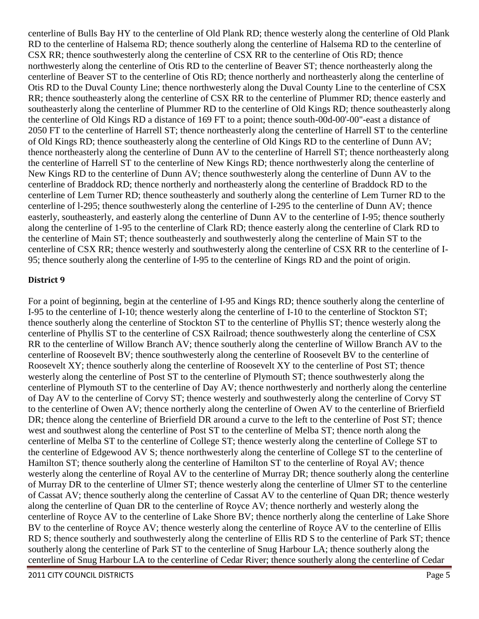centerline of Bulls Bay HY to the centerline of Old Plank RD; thence westerly along the centerline of Old Plank RD to the centerline of Halsema RD; thence southerly along the centerline of Halsema RD to the centerline of CSX RR; thence southwesterly along the centerline of CSX RR to the centerline of Otis RD; thence northwesterly along the centerline of Otis RD to the centerline of Beaver ST; thence northeasterly along the centerline of Beaver ST to the centerline of Otis RD; thence northerly and northeasterly along the centerline of Otis RD to the Duval County Line; thence northwesterly along the Duval County Line to the centerline of CSX RR; thence southeasterly along the centerline of CSX RR to the centerline of Plummer RD; thence easterly and southeasterly along the centerline of Plummer RD to the centerline of Old Kings RD; thence southeasterly along the centerline of Old Kings RD a distance of 169 FT to a point; thence south-00d-00'-00"-east a distance of 2050 FT to the centerline of Harrell ST; thence northeasterly along the centerline of Harrell ST to the centerline of Old Kings RD; thence southeasterly along the centerline of Old Kings RD to the centerline of Dunn AV; thence northeasterly along the centerline of Dunn AV to the centerline of Harrell ST; thence northeasterly along the centerline of Harrell ST to the centerline of New Kings RD; thence northwesterly along the centerline of New Kings RD to the centerline of Dunn AV; thence southwesterly along the centerline of Dunn AV to the centerline of Braddock RD; thence northerly and northeasterly along the centerline of Braddock RD to the centerline of Lem Turner RD; thence southeasterly and southerly along the centerline of Lem Turner RD to the centerline of l-295; thence southwesterly along the centerline of I-295 to the centerline of Dunn AV; thence easterly, southeasterly, and easterly along the centerline of Dunn AV to the centerline of I-95; thence southerly along the centerline of 1-95 to the centerline of Clark RD; thence easterly along the centerline of Clark RD to the centerline of Main ST; thence southeasterly and southwesterly along the centerline of Main ST to the centerline of CSX RR; thence westerly and southwesterly along the centerline of CSX RR to the centerline of I-95; thence southerly along the centerline of I-95 to the centerline of Kings RD and the point of origin.

#### **District 9**

For a point of beginning, begin at the centerline of I-95 and Kings RD; thence southerly along the centerline of I-95 to the centerline of I-10; thence westerly along the centerline of I-10 to the centerline of Stockton ST; thence southerly along the centerline of Stockton ST to the centerline of Phyllis ST; thence westerly along the centerline of Phyllis ST to the centerline of CSX Railroad; thence southwesterly along the centerline of CSX RR to the centerline of Willow Branch AV; thence southerly along the centerline of Willow Branch AV to the centerline of Roosevelt BV; thence southwesterly along the centerline of Roosevelt BV to the centerline of Roosevelt XY; thence southerly along the centerline of Roosevelt XY to the centerline of Post ST; thence westerly along the centerline of Post ST to the centerline of Plymouth ST; thence southwesterly along the centerline of Plymouth ST to the centerline of Day AV; thence northwesterly and northerly along the centerline of Day AV to the centerline of Corvy ST; thence westerly and southwesterly along the centerline of Corvy ST to the centerline of Owen AV; thence northerly along the centerline of Owen AV to the centerline of Brierfield DR; thence along the centerline of Brierfield DR around a curve to the left to the centerline of Post ST; thence west and southwest along the centerline of Post ST to the centerline of Melba ST; thence north along the centerline of Melba ST to the centerline of College ST; thence westerly along the centerline of College ST to the centerline of Edgewood AV S; thence northwesterly along the centerline of College ST to the centerline of Hamilton ST; thence southerly along the centerline of Hamilton ST to the centerline of Royal AV; thence westerly along the centerline of Royal AV to the centerline of Murray DR; thence southerly along the centerline of Murray DR to the centerline of Ulmer ST; thence westerly along the centerline of Ulmer ST to the centerline of Cassat AV; thence southerly along the centerline of Cassat AV to the centerline of Quan DR; thence westerly along the centerline of Quan DR to the centerline of Royce AV; thence northerly and westerly along the centerline of Royce AV to the centerline of Lake Shore BV; thence northerly along the centerline of Lake Shore BV to the centerline of Royce AV; thence westerly along the centerline of Royce AV to the centerline of Ellis RD S; thence southerly and southwesterly along the centerline of Ellis RD S to the centerline of Park ST; thence southerly along the centerline of Park ST to the centerline of Snug Harbour LA; thence southerly along the centerline of Snug Harbour LA to the centerline of Cedar River; thence southerly along the centerline of Cedar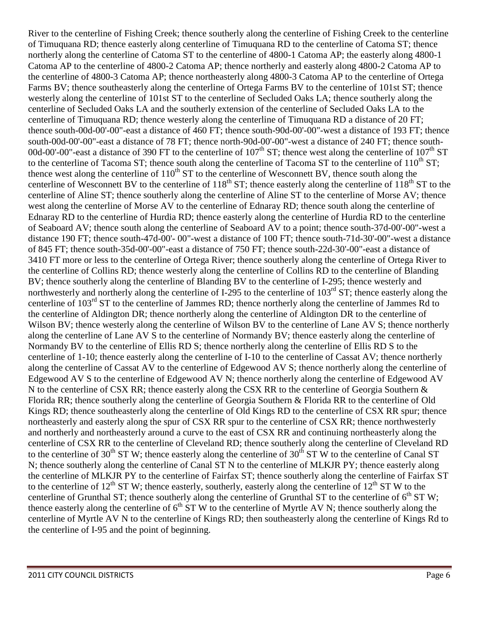River to the centerline of Fishing Creek; thence southerly along the centerline of Fishing Creek to the centerline of Timuquana RD; thence easterly along centerline of Timuquana RD to the centerline of Catoma ST; thence northerly along the centerline of Catoma ST to the centerline of 4800-1 Catoma AP; the easterly along 4800-1 Catoma AP to the centerline of 4800-2 Catoma AP; thence northerly and easterly along 4800-2 Catoma AP to the centerline of 4800-3 Catoma AP; thence northeasterly along 4800-3 Catoma AP to the centerline of Ortega Farms BV; thence southeasterly along the centerline of Ortega Farms BV to the centerline of 101st ST; thence westerly along the centerline of 101st ST to the centerline of Secluded Oaks LA; thence southerly along the centerline of Secluded Oaks LA and the southerly extension of the centerline of Secluded Oaks LA to the centerline of Timuquana RD; thence westerly along the centerline of Timuquana RD a distance of 20 FT; thence south-00d-00'-00"-east a distance of 460 FT; thence south-90d-00'-00"-west a distance of 193 FT; thence south-00d-00'-00"-east a distance of 78 FT; thence north-90d-00'-00"-west a distance of 240 FT; thence south-00d-00'-00"-east a distance of 390 FT to the centerline of  $107<sup>th</sup>$  ST; thence west along the centerline of  $107<sup>th</sup>$  ST to the centerline of Tacoma ST; thence south along the centerline of Tacoma ST to the centerline of  $110^{th}$  ST; thence west along the centerline of  $110^{th}$  ST to the centerline of Wesconnett BV, thence south along the centerline of Wesconnett BV to the centerline of  $118^{th}$  ST; thence easterly along the centerline of  $118^{th}$  ST to the centerline of Aline ST; thence southerly along the centerline of Aline ST to the centerline of Morse AV; thence west along the centerline of Morse AV to the centerline of Ednaray RD; thence south along the centerline of Ednaray RD to the centerline of Hurdia RD; thence easterly along the centerline of Hurdia RD to the centerline of Seaboard AV; thence south along the centerline of Seaboard AV to a point; thence south-37d-00'-00"-west a distance 190 FT; thence south-47d-00'- 00"-west a distance of 100 FT; thence south-71d-30'-00"-west a distance of 845 FT; thence south-35d-00'-00"-east a distance of 750 FT; thence south-22d-30'-00"-east a distance of 3410 FT more or less to the centerline of Ortega River; thence southerly along the centerline of Ortega River to the centerline of Collins RD; thence westerly along the centerline of Collins RD to the centerline of Blanding BV; thence southerly along the centerline of Blanding BV to the centerline of I-295; thence westerly and northwesterly and northerly along the centerline of I-295 to the centerline of  $103<sup>rd</sup> ST$ ; thence easterly along the centerline of 103rd ST to the centerline of Jammes RD; thence northerly along the centerline of Jammes Rd to the centerline of Aldington DR; thence northerly along the centerline of Aldington DR to the centerline of Wilson BV; thence westerly along the centerline of Wilson BV to the centerline of Lane AV S; thence northerly along the centerline of Lane AV S to the centerline of Normandy BV; thence easterly along the centerline of Normandy BV to the centerline of Ellis RD S; thence northerly along the centerline of Ellis RD S to the centerline of 1-10; thence easterly along the centerline of I-10 to the centerline of Cassat AV; thence northerly along the centerline of Cassat AV to the centerline of Edgewood AV S; thence northerly along the centerline of Edgewood AV S to the centerline of Edgewood AV N; thence northerly along the centerline of Edgewood AV N to the centerline of CSX RR; thence easterly along the CSX RR to the centerline of Georgia Southern & Florida RR; thence southerly along the centerline of Georgia Southern & Florida RR to the centerline of Old Kings RD; thence southeasterly along the centerline of Old Kings RD to the centerline of CSX RR spur; thence northeasterly and easterly along the spur of CSX RR spur to the centerline of CSX RR; thence northwesterly and northerly and northeasterly around a curve to the east of CSX RR and continuing northeasterly along the centerline of CSX RR to the centerline of Cleveland RD; thence southerly along the centerline of Cleveland RD to the centerline of 30<sup>th</sup> ST W; thence easterly along the centerline of 30<sup>th</sup> ST W to the centerline of Canal ST N; thence southerly along the centerline of Canal ST N to the centerline of MLKJR PY; thence easterly along the centerline of MLKJR PY to the centerline of Fairfax ST; thence southerly along the centerline of Fairfax ST to the centerline of  $12^{th}$  ST W; thence easterly, southerly, easterly along the centerline of  $12^{th}$  ST W to the centerline of Grunthal ST; thence southerly along the centerline of Grunthal ST to the centerline of  $6<sup>th</sup>$  ST W; thence easterly along the centerline of  $6<sup>th</sup> ST W$  to the centerline of Myrtle AV N; thence southerly along the centerline of Myrtle AV N to the centerline of Kings RD; then southeasterly along the centerline of Kings Rd to the centerline of I-95 and the point of beginning.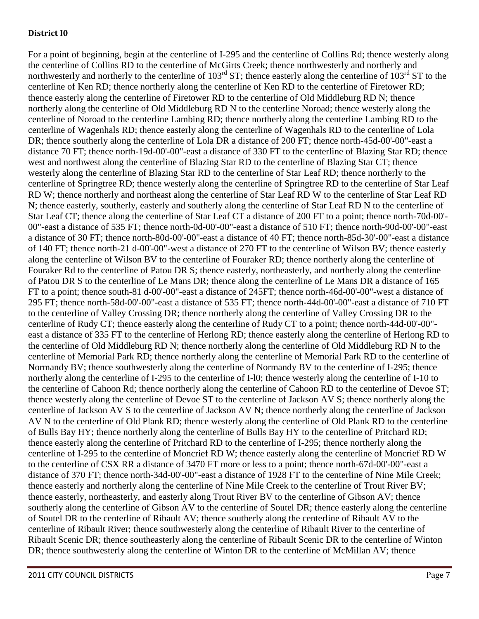#### **District I0**

For a point of beginning, begin at the centerline of I-295 and the centerline of Collins Rd; thence westerly along the centerline of Collins RD to the centerline of McGirts Creek; thence northwesterly and northerly and northwesterly and northerly to the centerline of  $103^{rd}$  ST; thence easterly along the centerline of  $103^{rd}$  ST to the centerline of Ken RD; thence northerly along the centerline of Ken RD to the centerline of Firetower RD; thence easterly along the centerline of Firetower RD to the centerline of Old Middleburg RD N; thence northerly along the centerline of Old Middleburg RD N to the centerline Noroad; thence westerly along the centerline of Noroad to the centerline Lambing RD; thence northerly along the centerline Lambing RD to the centerline of Wagenhals RD; thence easterly along the centerline of Wagenhals RD to the centerline of Lola DR; thence southerly along the centerline of Lola DR a distance of 200 FT; thence north-45d-00'-00"-east a distance 70 FT; thence north-19d-00'-00"-east a distance of 330 FT to the centerline of Blazing Star RD; thence west and northwest along the centerline of Blazing Star RD to the centerline of Blazing Star CT; thence westerly along the centerline of Blazing Star RD to the centerline of Star Leaf RD; thence northerly to the centerline of Springtree RD; thence westerly along the centerline of Springtree RD to the centerline of Star Leaf RD W; thence northerly and northeast along the centerline of Star Leaf RD W to the centerline of Star Leaf RD N; thence easterly, southerly, easterly and southerly along the centerline of Star Leaf RD N to the centerline of Star Leaf CT; thence along the centerline of Star Leaf CT a distance of 200 FT to a point; thence north-70d-00'- 00"-east a distance of 535 FT; thence north-0d-00'-00"-east a distance of 510 FT; thence north-90d-00'-00"-east a distance of 30 FT; thence north-80d-00'-00"-east a distance of 40 FT; thence north-85d-30'-00"-east a distance of 140 FT; thence north-21 d-00'-00"-west a distance of 270 FT to the centerline of Wilson BV; thence easterly along the centerline of Wilson BV to the centerline of Fouraker RD; thence northerly along the centerline of Fouraker Rd to the centerline of Patou DR S; thence easterly, northeasterly, and northerly along the centerline of Patou DR S to the centerline of Le Mans DR; thence along the centerline of Le Mans DR a distance of 165 FT to a point; thence south-81 d-00'-00"-east a distance of 245FT; thence north-46d-00'-00"-west a distance of 295 FT; thence north-58d-00'-00"-east a distance of 535 FT; thence north-44d-00'-00"-east a distance of 710 FT to the centerline of Valley Crossing DR; thence northerly along the centerline of Valley Crossing DR to the centerline of Rudy CT; thence easterly along the centerline of Rudy CT to a point; thence north-44d-00'-00" east a distance of 335 FT to the centerline of Herlong RD; thence easterly along the centerline of Herlong RD to the centerline of Old Middleburg RD N; thence northerly along the centerline of Old Middleburg RD N to the centerline of Memorial Park RD; thence northerly along the centerline of Memorial Park RD to the centerline of Normandy BV; thence southwesterly along the centerline of Normandy BV to the centerline of I-295; thence northerly along the centerline of I-295 to the centerline of I-l0; thence westerly along the centerline of I-10 to the centerline of Cahoon Rd; thence northerly along the centerline of Cahoon RD to the centerline of Devoe ST; thence westerly along the centerline of Devoe ST to the centerline of Jackson AV S; thence northerly along the centerline of Jackson AV S to the centerline of Jackson AV N; thence northerly along the centerline of Jackson AV N to the centerline of Old Plank RD; thence westerly along the centerline of Old Plank RD to the centerline of Bulls Bay HY; thence northerly along the centerline of Bulls Bay HY to the centerline of Pritchard RD; thence easterly along the centerline of Pritchard RD to the centerline of I-295; thence northerly along the centerline of I-295 to the centerline of Moncrief RD W; thence easterly along the centerline of Moncrief RD W to the centerline of CSX RR a distance of 3470 FT more or less to a point; thence north-67d-00'-00"-east a distance of 370 FT; thence north-34d-00'-00"-east a distance of 1928 FT to the centerline of Nine Mile Creek; thence easterly and northerly along the centerline of Nine Mile Creek to the centerline of Trout River BV; thence easterly, northeasterly, and easterly along Trout River BV to the centerline of Gibson AV; thence southerly along the centerline of Gibson AV to the centerline of Soutel DR; thence easterly along the centerline of Soutel DR to the centerline of Ribault AV; thence southerly along the centerline of Ribault AV to the centerline of Ribault River; thence southwesterly along the centerline of Ribault River to the centerline of Ribault Scenic DR; thence southeasterly along the centerline of Ribault Scenic DR to the centerline of Winton DR; thence southwesterly along the centerline of Winton DR to the centerline of McMillan AV; thence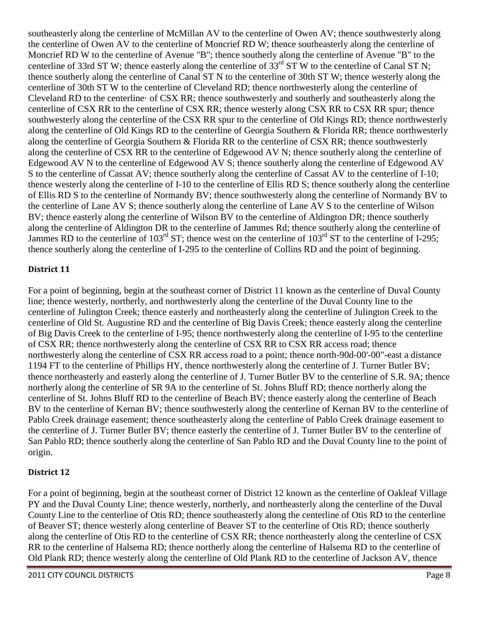southeasterly along the centerline of McMillan AV to the centerline of Owen AV; thence southwesterly along the centerline of Owen AV to the centerline of Moncrief RD W; thence southeasterly along the centerline of Moncrief RD W to the centerline of Avenue "B"; thence southerly along the centerline of Avenue "B" to the centerline of 33rd ST W; thence easterly along the centerline of 33<sup>rd</sup> ST W to the centerline of Canal ST N; thence southerly along the centerline of Canal ST N to the centerline of 30th ST W; thence westerly along the centerline of 30th ST W to the centerline of Cleveland RD; thence northwesterly along the centerline of Cleveland RD to the centerline  $\cdot$  of CSX RR; thence southwesterly and southerly and southeasterly along the centerline of CSX RR to the centerline of CSX RR; thence westerly along CSX RR to CSX RR spur; thence southwesterly along the centerline of the CSX RR spur to the centerline of Old Kings RD; thence northwesterly along the centerline of Old Kings RD to the centerline of Georgia Southern & Florida RR; thence northwesterly along the centerline of Georgia Southern & Florida RR to the centerline of CSX RR; thence southwesterly along the centerline of CSX RR to the centerline of Edgewood AV N; thence southerly along the centerline of Edgewood AV N to the centerline of Edgewood AV S; thence southerly along the centerline of Edgewood AV S to the centerline of Cassat AV; thence southerly along the centerline of Cassat AV to the centerline of I-10; thence westerly along the centerline of I-10 to the centerline of Ellis RD S; thence southerly along the centerline of Ellis RD S to the centerline of Normandy BV; thence southwesterly along the centerline of Normandy BV to the centerline of Lane AV S; thence southerly along the centerline of Lane AV S to the centerline of Wilson BV; thence easterly along the centerline of Wilson BV to the centerline of Aldington DR; thence southerly along the centerline of Aldington DR to the centerline of Jammes Rd; thence southerly along the centerline of Jammes RD to the centerline of  $103^{\text{rd}}$  ST; thence west on the centerline of  $103^{\text{rd}}$  ST to the centerline of I-295; thence southerly along the centerline of I-295 to the centerline of Collins RD and the point of beginning.

## **District 11**

For a point of beginning, begin at the southeast corner of District 11 known as the centerline of Duval County line; thence westerly, northerly, and northwesterly along the centerline of the Duval County line to the centerline of Julington Creek; thence easterly and northeasterly along the centerline of Julington Creek to the centerline of Old St. Augustine RD and the centerline of Big Davis Creek; thence easterly along the centerline of Big Davis Creek to the centerline of I-95; thence northwesterly along the centerline of I-95 to the centerline of CSX RR; thence northwesterly along the centerline of CSX RR to CSX RR access road; thence northwesterly along the centerline of CSX RR access road to a point; thence north-90d-00'-00"-east a distance 1194 FT to the centerline of Phillips HY, thence northwesterly along the centerline of J. Turner Butler BV; thence northeasterly and easterly along the centerline of J. Turner Butler BV to the centerline of S.R. 9A; thence northerly along the centerline of SR 9A to the centerline of St. Johns Bluff RD; thence northerly along the centerline of St. Johns Bluff RD to the centerline of Beach BV; thence easterly along the centerline of Beach BV to the centerline of Kernan BV; thence southwesterly along the centerline of Kernan BV to the centerline of Pablo Creek drainage easement; thence southeasterly along the centerline of Pablo Creek drainage easement to the centerline of J. Turner Butler BV; thence easterly the centerline of J. Turner Butler BV to the centerline of San Pablo RD; thence southerly along the centerline of San Pablo RD and the Duval County line to the point of origin.

#### **District 12**

For a point of beginning, begin at the southeast corner of District 12 known as the centerline of Oakleaf Village PY and the Duval County Line; thence westerly, northerly, and northeasterly along the centerline of the Duval County Line to the centerline of Otis RD; thence southeasterly along the centerline of Otis RD to the centerline of Beaver ST; thence westerly along centerline of Beaver ST to the centerline of Otis RD; thence southerly along the centerline of Otis RD to the centerline of CSX RR; thence northeasterly along the centerline of CSX RR to the centerline of Halsema RD; thence northerly along the centerline of Halsema RD to the centerline of Old Plank RD; thence westerly along the centerline of Old Plank RD to the centerline of Jackson AV, thence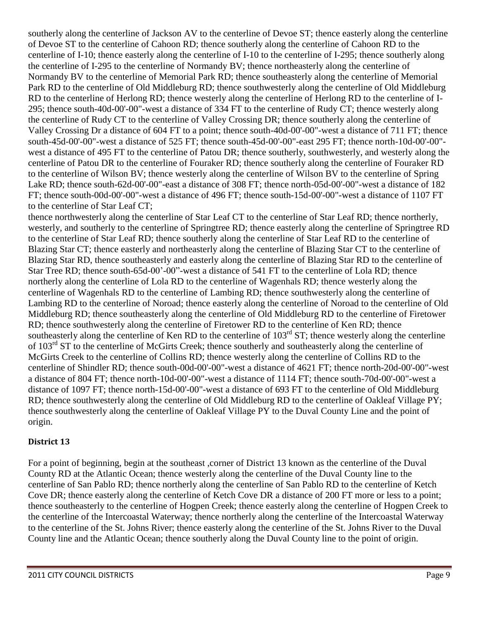southerly along the centerline of Jackson AV to the centerline of Devoe ST; thence easterly along the centerline of Devoe ST to the centerline of Cahoon RD; thence southerly along the centerline of Cahoon RD to the centerline of I-10; thence easterly along the centerline of I-10 to the centerline of I-295; thence southerly along the centerline of I-295 to the centerline of Normandy BV; thence northeasterly along the centerline of Normandy BV to the centerline of Memorial Park RD; thence southeasterly along the centerline of Memorial Park RD to the centerline of Old Middleburg RD; thence southwesterly along the centerline of Old Middleburg RD to the centerline of Herlong RD; thence westerly along the centerline of Herlong RD to the centerline of I-295; thence south-40d-00'-00"-west a distance of 334 FT to the centerline of Rudy CT; thence westerly along the centerline of Rudy CT to the centerline of Valley Crossing DR; thence southerly along the centerline of Valley Crossing Dr a distance of 604 FT to a point; thence south-40d-00'-00"-west a distance of 711 FT; thence south-45d-00'-00"-west a distance of 525 FT; thence south-45d-00'-00"-east 295 FT; thence north-10d-00'-00" west a distance of 495 FT to the centerline of Patou DR; thence southerly, southwesterly, and westerly along the centerline of Patou DR to the centerline of Fouraker RD; thence southerly along the centerline of Fouraker RD to the centerline of Wilson BV; thence westerly along the centerline of Wilson BV to the centerline of Spring Lake RD; thence south-62d-00'-00"-east a distance of 308 FT; thence north-05d-00'-00"-west a distance of 182 FT; thence south-00d-00'-00"-west a distance of 496 FT; thence south-15d-00'-00"-west a distance of 1107 FT to the centerline of Star Leaf CT;

thence northwesterly along the centerline of Star Leaf CT to the centerline of Star Leaf RD; thence northerly, westerly, and southerly to the centerline of Springtree RD; thence easterly along the centerline of Springtree RD to the centerline of Star Leaf RD; thence southerly along the centerline of Star Leaf RD to the centerline of Blazing Star CT; thence easterly and northeasterly along the centerline of Blazing Star CT to the centerline of Blazing Star RD, thence southeasterly and easterly along the centerline of Blazing Star RD to the centerline of Star Tree RD; thence south-65d-00'-00"-west a distance of 541 FT to the centerline of Lola RD; thence northerly along the centerline of Lola RD to the centerline of Wagenhals RD; thence westerly along the centerline of Wagenhals RD to the centerline of Lambing RD; thence southwesterly along the centerline of Lambing RD to the centerline of Noroad; thence easterly along the centerline of Noroad to the centerline of Old Middleburg RD; thence southeasterly along the centerline of Old Middleburg RD to the centerline of Firetower RD; thence southwesterly along the centerline of Firetower RD to the centerline of Ken RD; thence southeasterly along the centerline of Ken RD to the centerline of 103<sup>rd</sup> ST; thence westerly along the centerline of 103<sup>rd</sup> ST to the centerline of McGirts Creek; thence southerly and southeasterly along the centerline of McGirts Creek to the centerline of Collins RD; thence westerly along the centerline of Collins RD to the centerline of Shindler RD; thence south-00d-00'-00"-west a distance of 4621 FT; thence north-20d-00'-00"-west a distance of 804 FT; thence north-10d-00'-00"-west a distance of 1114 FT; thence south-70d-00'-00"-west a distance of 1097 FT; thence north-15d-00'-00"-west a distance of 693 FT to the centerline of Old Middleburg RD; thence southwesterly along the centerline of Old Middleburg RD to the centerline of Oakleaf Village PY; thence southwesterly along the centerline of Oakleaf Village PY to the Duval County Line and the point of origin.

#### **District 13**

For a point of beginning, begin at the southeast ,corner of District 13 known as the centerline of the Duval County RD at the Atlantic Ocean; thence westerly along the centerline of the Duval County line to the centerline of San Pablo RD; thence northerly along the centerline of San Pablo RD to the centerline of Ketch Cove DR; thence easterly along the centerline of Ketch Cove DR a distance of 200 FT more or less to a point; thence southeasterly to the centerline of Hogpen Creek; thence easterly along the centerline of Hogpen Creek to the centerline of the Intercoastal Waterway; thence northerly along the centerline of the Intercoastal Waterway to the centerline of the St. Johns River; thence easterly along the centerline of the St. Johns River to the Duval County line and the Atlantic Ocean; thence southerly along the Duval County line to the point of origin.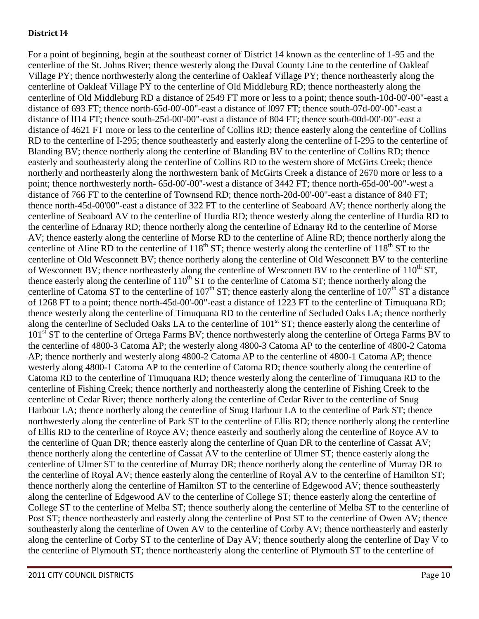#### **District I4**

For a point of beginning, begin at the southeast corner of District 14 known as the centerline of 1-95 and the centerline of the St. Johns River; thence westerly along the Duval County Line to the centerline of Oakleaf Village PY; thence northwesterly along the centerline of Oakleaf Village PY; thence northeasterly along the centerline of Oakleaf Village PY to the centerline of Old Middleburg RD; thence northeasterly along the centerline of Old Middleburg RD a distance of 2549 FT more or less to a point; thence south-10d-00'-00"-east a distance of 693 FT; thence north-65d-00'-00"-east a distance of l097 FT; thence south-07d-00'-00"-east a distance of lI14 FT; thence south-25d-00'-00"-east a distance of 804 FT; thence south-00d-00'-00"-east a distance of 4621 FT more or less to the centerline of Collins RD; thence easterly along the centerline of Collins RD to the centerline of I-295; thence southeasterly and easterly along the centerline of I-295 to the centerline of Blanding BV; thence northerly along the centerline of Blanding BV to the centerline of Collins RD; thence easterly and southeasterly along the centerline of Collins RD to the western shore of McGirts Creek; thence northerly and northeasterly along the northwestern bank of McGirts Creek a distance of 2670 more or less to a point; thence northwesterly north- 65d-00'-00''-west a distance of 3442 FT; thence north-65d-00'-00"-west a distance of 766 FT to the centerline of Townsend RD; thence north-20d-00'-00"-east a distance of 840 FT; thence north-45d-00'00"-east a distance of 322 FT to the centerline of Seaboard AV; thence northerly along the centerline of Seaboard AV to the centerline of Hurdia RD; thence westerly along the centerline of Hurdia RD to the centerline of Ednaray RD; thence northerly along the centerline of Ednaray Rd to the centerline of Morse AV; thence easterly along the centerline of Morse RD to the centerline of Aline RD; thence northerly along the centerline of Aline RD to the centerline of  $118^{th}$  ST; thence westerly along the centerline of  $118^{th}$  ST to the centerline of Old Wesconnett BV; thence northerly along the centerline of Old Wesconnett BV to the centerline of Wesconnett BV; thence northeasterly along the centerline of Wesconnett BV to the centerline of  $110^{th}$  ST, thence easterly along the centerline of  $110^{th}$  ST to the centerline of Catoma ST; thence northerly along the centerline of Catoma ST to the centerline of 107<sup>th</sup> ST; thence easterly along the centerline of  $107<sup>th</sup>$  ST a distance of 1268 FT to a point; thence north-45d-00'-00"-east a distance of 1223 FT to the centerline of Timuquana RD; thence westerly along the centerline of Timuquana RD to the centerline of Secluded Oaks LA; thence northerly along the centerline of Secluded Oaks LA to the centerline of 101<sup>st</sup> ST; thence easterly along the centerline of 101<sup>st</sup> ST to the centerline of Ortega Farms BV; thence northwesterly along the centerline of Ortega Farms BV to the centerline of 4800-3 Catoma AP; the westerly along 4800-3 Catoma AP to the centerline of 4800-2 Catoma AP; thence northerly and westerly along 4800-2 Catoma AP to the centerline of 4800-1 Catoma AP; thence westerly along 4800-1 Catoma AP to the centerline of Catoma RD; thence southerly along the centerline of Catoma RD to the centerline of Timuquana RD; thence westerly along the centerline of Timuquana RD to the centerline of Fishing Creek; thence northerly and northeasterly along the centerline of Fishing Creek to the centerline of Cedar River; thence northerly along the centerline of Cedar River to the centerline of Snug Harbour LA; thence northerly along the centerline of Snug Harbour LA to the centerline of Park ST; thence northwesterly along the centerline of Park ST to the centerline of Ellis RD; thence northerly along the centerline of Ellis RD to the centerline of Royce AV; thence easterly and southerly along the centerline of Royce AV to the centerline of Quan DR; thence easterly along the centerline of Quan DR to the centerline of Cassat AV; thence northerly along the centerline of Cassat AV to the centerline of Ulmer ST; thence easterly along the centerline of Ulmer ST to the centerline of Murray DR; thence northerly along the centerline of Murray DR to the centerline of Royal AV; thence easterly along the centerline of Royal AV to the centerline of Hamilton ST; thence northerly along the centerline of Hamilton ST to the centerline of Edgewood AV; thence southeasterly along the centerline of Edgewood AV to the centerline of College ST; thence easterly along the centerline of College ST to the centerline of Melba ST; thence southerly along the centerline of Melba ST to the centerline of Post ST; thence northeasterly and easterly along the centerline of Post ST to the centerline of Owen AV; thence southeasterly along the centerline of Owen AV to the centerline of Corby AV; thence northeasterly and easterly along the centerline of Corby ST to the centerline of Day AV; thence southerly along the centerline of Day V to the centerline of Plymouth ST; thence northeasterly along the centerline of Plymouth ST to the centerline of